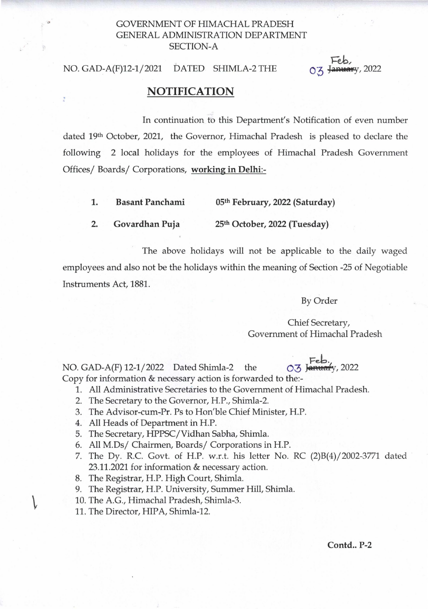## GOVERNMENT OF HIMACHAL PRADESH GENERAL ADMINISTRATION DEPARTMENT SECTION-A

## NO. GAD~A(F)12-1/2021 DATED SHIMLA-2 THE

## January, 2022

## NOTIFICATION

In continuation to this Department's Notification of even number dated 19th October, 2021, the Governor, Himachal Pradesh is pleased to declare the following 2 local holidays for the employees of Himachal Pradesh Government Offices/ Boards/ Corporations, working in Delhi:-

- 1. Basant Panchami 05th February, 2022 (Saturday)
- 2. Govardhan Puja 25th October, 2022 (Tuesday)

The above holidays will not be applicable to the daily waged employees and also not be the holidays within the meaning of Section -25 of Negotiable Instruments Act, 1881.

By Order

Chief Secretary, Government of Himachal Pradesh

03 January, 2022

NO. GAD-A(F)  $12-1/2022$  Dated Shimla-2 the Copy for information & necessary action is forwarded to the:-

- 1. All Administrative Secretaries to the Government of Himachal Pradesh.
- 2. The Secretary to the Governor, H.P., Shimla-2.
- 3. The Advisor-cum-Pr. Ps to Hon'ble Chief Minister, H.P.
- 4. All Heads of Department in H.P.
- 5. The Secretary, HPPSC/Vidhan Sabha, Shimla.
- 6. All M.Ds/ Chairmen, Boards/ Corporations in H.P.
- 7. The Dy. R.c. Govt. of H.P. w.r.t. his letter No. RC (2)B(4)/2002-3771 dated 23.11.2021 for information & necessary action.
- 8. The Registrar, H.P. High Court, Shimla.
- 9. The Registrar, H.P. University, Summer Hill, Shimla.
- 10. The A.G., Himachal Pradesh, Shimla-3.
- 11. The Director, HIPA, Shimla-12.

 $\mathcal{L}$ 

 $Contd. P-2$